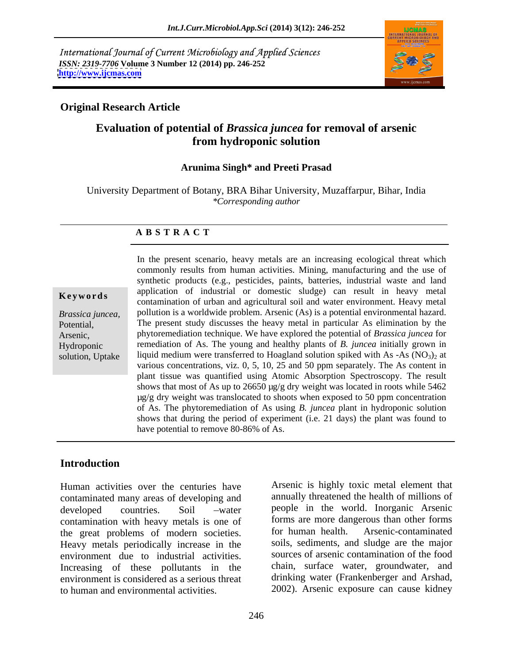International Journal of Current Microbiology and Applied Sciences *ISSN: 2319-7706* **Volume 3 Number 12 (2014) pp. 246-252 <http://www.ijcmas.com>**



### **Original Research Article**

## **Evaluation of potential of** *Brassica juncea* **for removal of arsenic from hydroponic solution**

### **Arunima Singh\* and Preeti Prasad**

University Department of Botany, BRA Bihar University, Muzaffarpur, Bihar, India *\*Corresponding author*

### **A B S T R A C T**

**Keywords** application of industrial of domestic studge) can result in heavy metal contamination of urban and agricultural soil and water environment. Heavy metal *Brassica juncea,*  pollution is a worldwide problem. Arsenic (As) is a potential environmental hazard. Potential, The present study discusses the heavy metal in particular As elimination by the Arsenic, phytoremediation technique. We have explored the potential of *Brassica juncea* for Hydroponic remediation of As. The young and healthy plants of *B. juncea* initially grown in solution, Uptake liquid medium were transferred to Hoagland solution spiked with As -As  $(NO<sub>3</sub>)<sub>2</sub>$  at In the present scenario, heavy metals are an increasing ecological threat which commonly results from human activities. Mining, manufacturing and the use of synthetic products (e.g., pesticides, paints, batteries, industrial waste and land application of industrial or domestic sludge) can result in heavy metal various concentrations, viz. 0, 5, 10, 25 and 50 ppm separately. The As content in plant tissue was quantified using Atomic Absorption Spectroscopy. The result shows that most of As up to 26650  $\mu$ g/g dry weight was located in roots while 5462  $\mu$ g/g dry weight was translocated to shoots when exposed to 50 ppm concentration of As. The phytoremediation of As using *B. juncea* plant in hydroponic solution shows that during the period of experiment (i.e. 21 days) the plant was found to have potential to remove 80-86% of As.

### **Introduction**

Human activities over the centuries have contaminated many areas of developing and contamination with heavy metals is one of forms are more dangerous than other forms<br>the great problems of modern societies for human health. Arsenic-contaminated the great problems of modern societies. Heavy metals periodically increase in the environment due to industrial activities. Increasing of these pollutants in the environment is considered as a serious threat to human and environmental activities. 2002). Arsenic exposure can cause kidney

developed countries. Soil water people in the world. Inorganic Arsenic Arsenic is highly toxic metal element that annually threatened the health of millions of forms are more dangerous than other forms for human health. Arsenic-contaminated soils, sediments, and sludge are the major sources of arsenic contamination of the food chain, surface water, groundwater, and drinking water (Frankenberger and Arshad,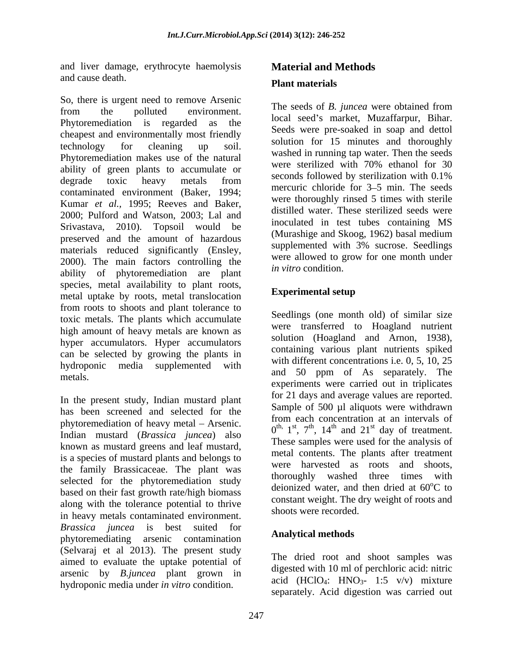and liver damage, erythrocyte haemolysis and cause death. **Plant materials** 

So, there is urgent need to remove Arsenic from the polluted environment. The secus of *D. Junced* were obtained from Phytoremediation is regarded as the cheapest and environmentally most friendly technology for cleaning up soil. Solution for the initiates and diotoughly Phytoremediation makes use of the natural washed in running tap water. Then the seeds<br>were sterilized with 70% ethanol for 30 ability of green plants to accumulate or<br>seconds followed by sterilization with 0.1% degrade toxic heavy metals from seconds followed by sterm allows with 0.170 contaminated environment (Baker, 1994; Kumar *et al.,* 1995; Reeves and Baker, 2000; Pulford and Watson, 2003; Lal and Srivastava, 2010). Topsoil would be preserved and the amount of hazardous materials reduced significantly (Ensley, 2000). The main factors controlling the ability of phytoremediation are plant species, metal availability to plant roots,<br>metal uptake by roots metal translection **Experimental setup** metal uptake by roots, metal translocation from roots to shoots and plant tolerance to toxic metals. The plants which accumulate high amount of heavy metals are known as hyper accumulators. Hyper accumulators can be selected by growing the plants in hydroponic media supplemented with

In the present study, Indian mustard plant has been screened and selected for the phytoremediation of heavy metal – Arsenic. Indian mustard (*Brassica juncea*) also known as mustard greens and leaf mustard, is a species of mustard plants and belongs to the family Brassicaceae. The plant was selected for the phytoremediation study based on their fast growth rate/high biomass along with the tolerance potential to thrive in heavy metals contaminated environment. *Brassica juncea* is best suited for<br>**phytographylical methods** phytoremediating arsenic contamination **Allahytical methods** (Selvaraj et al 2013). The present study aimed to evaluate the uptake potential of arsenic by *B.juncea* plant grown in hydroponic media under *in vitro* condition.

# **Material and Methods Plant materials**

The seeds of *B. juncea* were obtained from local seed's market, Muzaffarpur, Bihar. Seeds were pre-soaked in soap and dettol solution for 15 minutes and thoroughly washed in running tap water. Then the seeds were sterilized with 70% ethanol for 30 seconds followed by sterilization with 0.1% mercuric chloride for 3–5 min. The seeds were thoroughly rinsed 5 times with sterile distilled water. These sterilized seeds were inoculated in test tubes containing MS (Murashige and Skoog, 1962) basal medium supplemented with 3% sucrose. Seedlings were allowed to grow for one month under *in vitro* condition.

## **Experimental setup**

metals. The metals is and 50 ppm of As separately. The Seedlings (one month old) of similar size were transferred to Hoagland nutrient solution (Hoagland and Arnon, 1938), containing various plant nutrients spiked with different concentrations i.e. 0, 5, 10, 25 experiments were carried out in triplicates for 21 days and average values are reported. Sample of 500 µl aliquots were withdrawn from each concentration at an intervals of  $0^{\text{th}}$ ,  $1^{\text{st}}$ ,  $7^{\text{th}}$ ,  $14^{\text{th}}$  and  $21^{\text{st}}$  day of treatment. st day of treatment. These samples were used for the analysis of metal contents. The plants after treatment were harvested as roots and shoots, thoroughly washed three times with deionized water, and then dried at  $60^{\circ}$ C to  $\rm{^{\circ}C}$  to constant weight. The dry weight of roots and shoots were recorded.

## **Analytical methods**

The dried root and shoot samples was digested with 10 ml of perchloric acid: nitric acid (HClO<sub>4</sub>: HNO<sub>3</sub>- 1:5 v/v) mixture separately. Acid digestion was carried out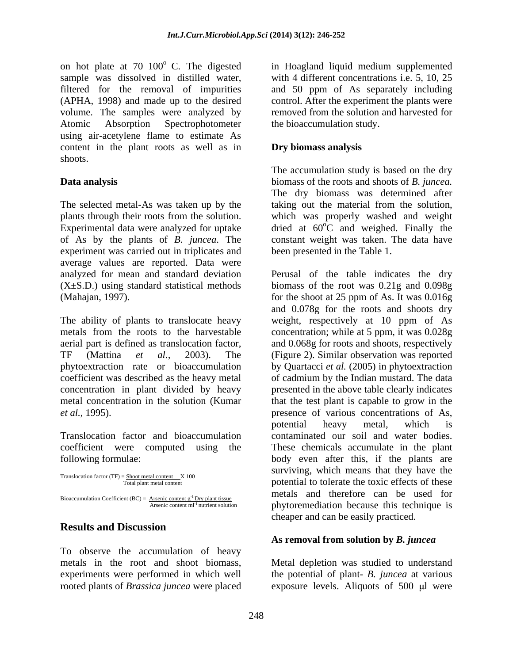on hot plate at  $70-100^{\circ}$  C. The digested sample was dissolved in distilled water, with 4 different concentrations i.e. 5, 10, 25 filtered for the removal of impurities and 50 ppm of As separately including (APHA, 1998) and made up to the desired control. After the experiment the plants were volume. The samples were analyzed by Atomic Absorption Spectrophotometer the bioaccumulation study. using air-acetylene flame to estimate As content in the plant roots as well as in shoots.

The selected metal-As was taken up by the taking out the material from the solution, plants through their roots from the solution. which was properly washed and weight Experimental data were analyzed for uptake of As by the plants of *B. juncea*. The constant weight was taken. The data have experiment was carried out in triplicates and average values are reported. Data were analyzed for mean and standard deviation

```
Translocation factor (TF) = \frac{\text{Show metal content}}{\text{Total plant metal content}} X 100
Bioaccumulation Coefficient (BC) = \frac{\text{Arsenic content g}^{-1} \text{Dry plant tissue}}{\text{Arsenic content ml}^{-1} \text{ nutrient solution}}
```
## **Results and Discussion**

To observe the accumulation of heavy rooted plants of *Brassica juncea* were placed exposure levels. Aliquots of 500 µl were

in Hoagland liquid medium supplemented removed from the solution and harvested for

## **Dry biomass analysis**

**Data analysis** biomass of the roots and shoots of *B. juncea.* The accumulation study is based on the dry The dry biomass was determined after dried at  $60^{\circ}$ C and weighed. Finally the  $\rm{^{\circ}C}$  and weighed. Finally the been presented in the Table 1.

(X±S.D.) using standard statistical methods biomass of the root was 0.21g and 0.098g (Mahajan, 1997). for the shoot at 25 ppm of As. It was 0.016g The ability of plants to translocate heavy weight, respectively at 10 ppm of As metals from the roots to the harvestable concentration; while at 5 ppm, it was 0.028g aerial part is defined as translocation factor, and 0.068g for roots and shoots, respectively TF (Mattina *et al.,* 2003). The (Figure 2). Similar observation was reported phytoextraction rate or bioaccumulation by Quartacci *et al.* (2005) in phytoextraction coefficient was described as the heavy metal of cadmium by the Indian mustard. The data concentration in plant divided by heavy presented in the above table clearly indicates metal concentration in the solution (Kumar that the test plant is capable to grow in the *et al.,* 1995). presence of various concentrations of As, Translocation factor and bioaccumulation contaminated our soil and water bodies. coefficient were computed using the These chemicals accumulate in the plant following formulae: body even after this, if the plants are  $T_{\text{total plant metal content}}$  and  $T_{\text{total plant metal content}}$  and  $T_{\text{total plant metal content}}$ Arsenic content ml<sup>-1</sup> nutrient solution phytoremediation because this technique is Perusal of the table indicates the dry and 0.078g for the roots and shoots dry potential heavy metal, which is surviving, which means that they have the metals and therefore can be used for cheaper and can be easily practiced.

### **As removal from solution by** *B. juncea*

metals in the root and shoot biomass, Metal depletion was studied to understand experiments were performed in which well the potential of plant- *B. juncea* at various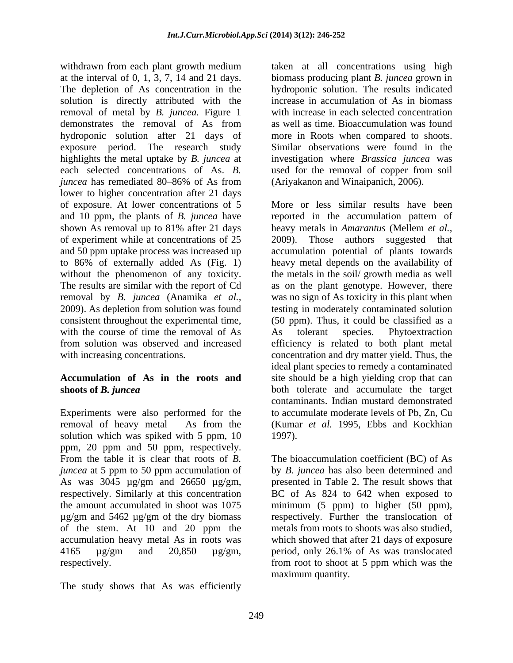withdrawn from each plant growth medium at the interval of 0, 1, 3, 7, 14 and 21 days. biomass producing plant *B. juncea* grown in The depletion of As concentration in the hydroponic solution. The results indicated solution is directly attributed with the removal of metal by *B. juncea.* Figure 1 demonstrates the removal of As from hydroponic solution after 21 days of more in Roots when compared to shoots. exposure period. The research study highlights the metal uptake by *B. juncea* at investigation where *Brassica juncea* was each selected concentrations of As. *B.* used for the removal of copper from soil *juncea* has remediated 80–86% of As from (Ariyakanon and Winaipanich, 2006). lower to higher concentration after 21 days of experiment while at concentrations of 25 consistent throughout the experimental time, with the course of time the removal of As As tolerant species. Phytoextraction

Experiments were also performed for the<br>removal of heavy metal – As from the solution which was spiked with 5 ppm, 10 1997). ppm, 20 ppm and 50 ppm, respectively. *juncea* at 5 ppm to 50 ppm accumulation of of the stem. At 10 and 20 ppm the accumulation heavy metal As in roots was

The study shows that As was efficiently

taken at all concentrations using high increase in accumulation of As in biomass with increase in each selected concentration as well as time. Bioaccumulation was found Similar observations were found in the (Ariyakanon and Winaipanich, 2006).

of exposure. At lower concentrations of 5 More or less similar results have been and 10 ppm, the plants of *B. juncea* have reported in the accumulation pattern of shown As removal up to 81% after 21 days heavy metals in *Amarantus* (Mellem *et al.*, and 50 ppm uptake process was increased up accumulation potential of plants towards to 86% of externally added As (Fig. 1) heavy metal depends on the availability of without the phenomenon of any toxicity. the metals in the soil/ growth media as well The results are similar with the report of Cd as on the plant genotype. However, there removal by *B. juncea* (Anamika *et al.,* was no sign of As toxicity in this plant when 2009). As depletion from solution was found testing in moderately contaminated solution from solution was observed and increased efficiency is related to both plant metal with increasing concentrations. Thus concentration and dry matter yield. Thus, the **Accumulation of As in the roots and** site should be a high yielding crop that can **shoots of** *B. juncea* both tolerate and accumulate the target removal of heavy metal – As from the (Kumar *et al.* 1995, Ebbs and Kockhian heavy metals in *Amarantus* (Mellem *et al.,* Those authors suggested that (50 ppm). Thus, it could be classified as a As tolerant species. Phytoextraction ideal plant species to remedy a contaminated contaminants. Indian mustard demonstrated to accumulate moderate levels of Pb, Zn, Cu 1997).

From the table it is clear that roots of *B*. The bioaccumulation coefficient (BC) of As As was 3045 µg/gm and 26650 µg/gm, presented in Table 2. The result shows that respectively. Similarly at this concentration BC of As 824 to 642 when exposed to the amount accumulated in shoot was 1075 minimum (5 ppm) to higher (50 ppm), µg/gm and 5462 µg/gm of the dry biomass respectively. Further the translocation of 4165 µg/gm and 20,850 µg/gm, period, only 26.1% of As was translocated respectively. from root to shoot at 5 ppm which was the by *B. juncea* has also been determined and metals from roots to shoots was also studied, which showed that after 21 days of exposure maximum quantity.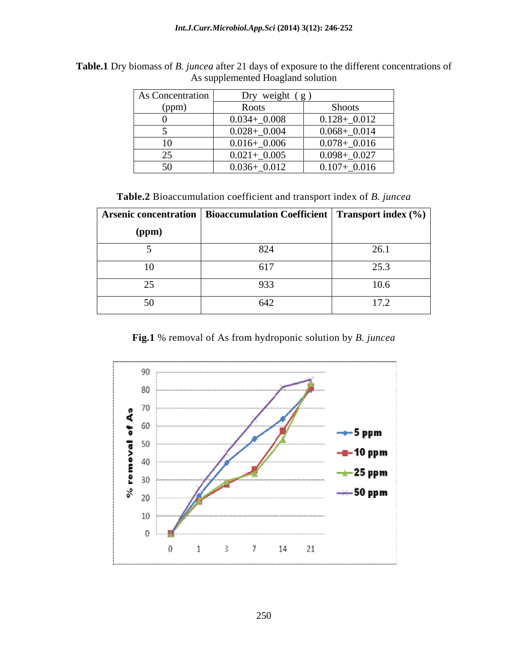| As Concentration    | Dry weight $(g)$ |                 |
|---------------------|------------------|-----------------|
| (ppm)               | Roots            | Shoots          |
|                     | $0.034 + 0.008$  | $0.128 + 0.012$ |
|                     | $0.028 + 0.004$  | $0.068 + 0.014$ |
| 10                  | $0.016 + 0.006$  | $0.078 + 0.016$ |
| $\sim$ $\sim$<br>رے | $0.021 + 0.005$  | $0.098 + 0.027$ |
| 50                  | $0.036 + 0.012$  | $0.107 + 0.016$ |

**Table.1** Dry biomass of *B. juncea* after 21 days of exposure to the different concentrations of As supplemented Hoagland solution

**Table.2** Bioaccumulation coefficient and transport index of *B. juncea*

|                | <b>Arsenic concentration   Bioaccumulation Coefficient   Transport index (%)  </b> |      |
|----------------|------------------------------------------------------------------------------------|------|
| (ppm)          |                                                                                    |      |
|                | 824                                                                                | 26.1 |
| 1 <sub>O</sub> | 617                                                                                | 25.3 |
|                | 933                                                                                | 10.6 |
| 50             | 642                                                                                | 17.2 |

**Fig.1** % removal of As from hydroponic solution by *B. juncea*

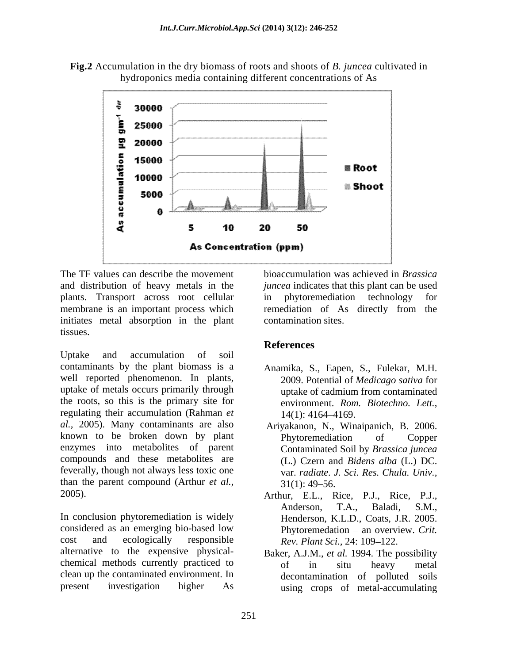



plants. Transport across root cellular in phytoremediation technology for membrane is an important process which remediation of As directly from the initiates metal absorption in the plant tissues.

Uptake and accumulation of soil contaminants by the plant biomass is a Anamika, S., Eapen, S., Fulekar, M.H. well reported phenomenon. In plants, uptake of metals occurs primarily through the roots, so this is the primary site for environment. Rom. Biotechno. Lett., regulating their accumulation (Rahman *et al.,* 2005). Many contaminants are also known to be broken down by plant Phytoremediation of Copper enzymes into metabolites of parent compounds and these metabolites are feverally, though not always less toxic one than the parent compound (Arthur *et al.*, 31(1): 49–56.

In conclusion phytoremediation is widely considered as an emerging bio-based low cost and ecologically responsible  $Rev.$  *Plant Sci.*, 24: 109–122. alternative to the expensive physical chemical methods currently practiced to being of the situ heavy metal clean up the contaminated environment. In

The TF values can describe the movement bioaccumulation was achieved in *Brassica*  and distribution of heavy metals in the *juncea* indicates that this plant can be used in phytoremediation technology for remediation of As directly from the contamination sites.

## **References**

- 2009. Potential of *Medicago sativa* for uptake of cadmium from contaminated environment. *Rom. Biotechno. Lett.*, 14(1): 4164 4169.
- Ariyakanon, N., Winaipanich, B. 2006. Phytoremediation of Copper Contaminated Soil by *Brassica juncea* (L.) Czern and *Bidens alba* (L.) DC. var. *radiate. J. Sci. Res. Chula. Univ.,*  $31(1): 49-56.$
- 2005). Arthur, E.L., Rice, P.J., Rice, P.J., Anderson, T.A., Baladi, S.M., Henderson, K.L.D., Coats, J.R. 2005. Phytoremedation - an overview. *Crit.*
- present investigation higher As using crops of metal-accumulating Baker, A.J.M., *et al.* 1994. The possibility of in situ heavy metal decontamination of polluted soils